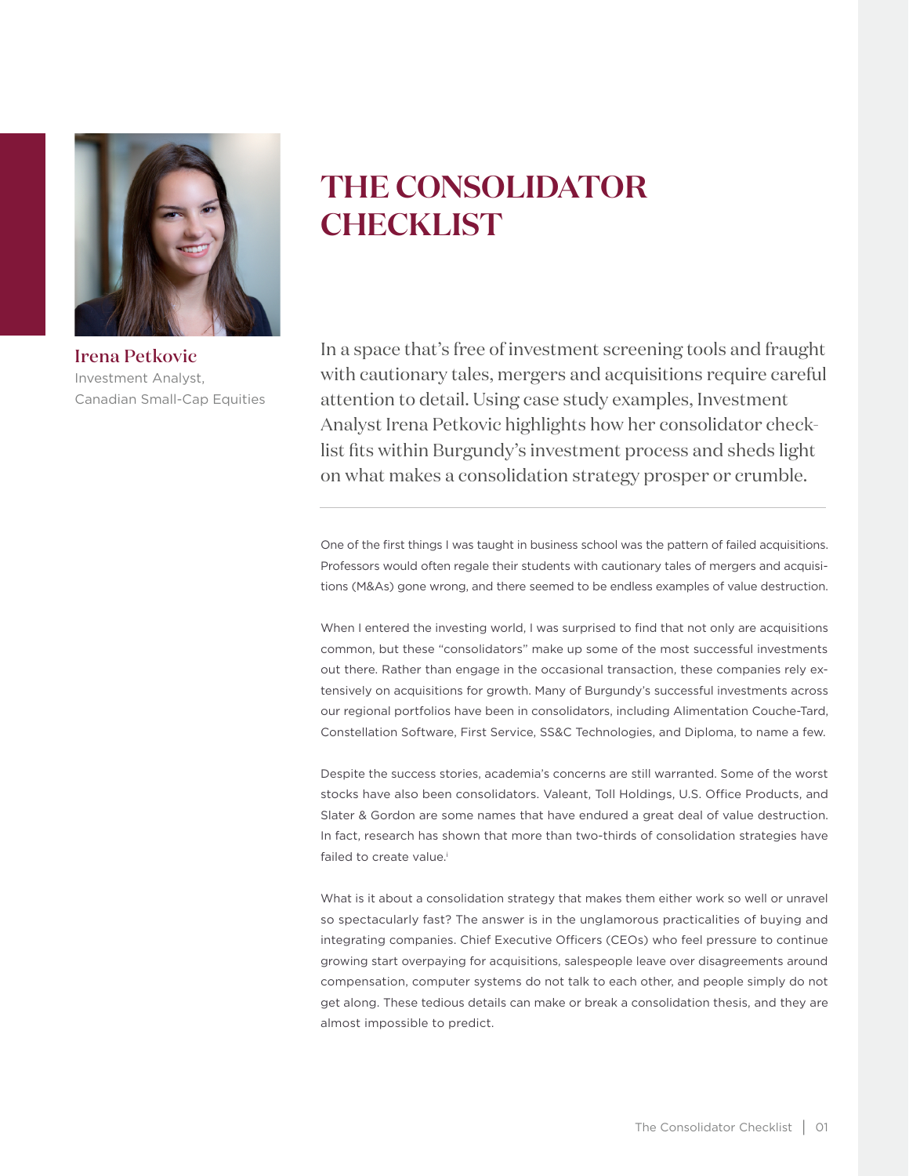

Irena Petkovic Investment Analyst, Canadian Small-Cap Equities

# **THE CONSOLIDATOR CHECKLIST**

In a space that's free of investment screening tools and fraught with cautionary tales, mergers and acquisitions require careful attention to detail. Using case study examples, Investment Analyst Irena Petkovic highlights how her consolidator checklist fits within Burgundy's investment process and sheds light on what makes a consolidation strategy prosper or crumble.

One of the first things I was taught in business school was the pattern of failed acquisitions. Professors would often regale their students with cautionary tales of mergers and acquisitions (M&As) gone wrong, and there seemed to be endless examples of value destruction.

When I entered the investing world, I was surprised to find that not only are acquisitions common, but these "consolidators" make up some of the most successful investments out there. Rather than engage in the occasional transaction, these companies rely extensively on acquisitions for growth. Many of Burgundy's successful investments across our regional portfolios have been in consolidators, including Alimentation Couche-Tard, Constellation Software, First Service, SS&C Technologies, and Diploma, to name a few.

Despite the success stories, academia's concerns are still warranted. Some of the worst stocks have also been consolidators. Valeant, Toll Holdings, U.S. Office Products, and Slater & Gordon are some names that have endured a great deal of value destruction. In fact, research has shown that more than two-thirds of consolidation strategies have failed to create value.<sup>i</sup>

What is it about a consolidation strategy that makes them either work so well or unravel so spectacularly fast? The answer is in the unglamorous practicalities of buying and integrating companies. Chief Executive Officers (CEOs) who feel pressure to continue growing start overpaying for acquisitions, salespeople leave over disagreements around compensation, computer systems do not talk to each other, and people simply do not get along. These tedious details can make or break a consolidation thesis, and they are almost impossible to predict.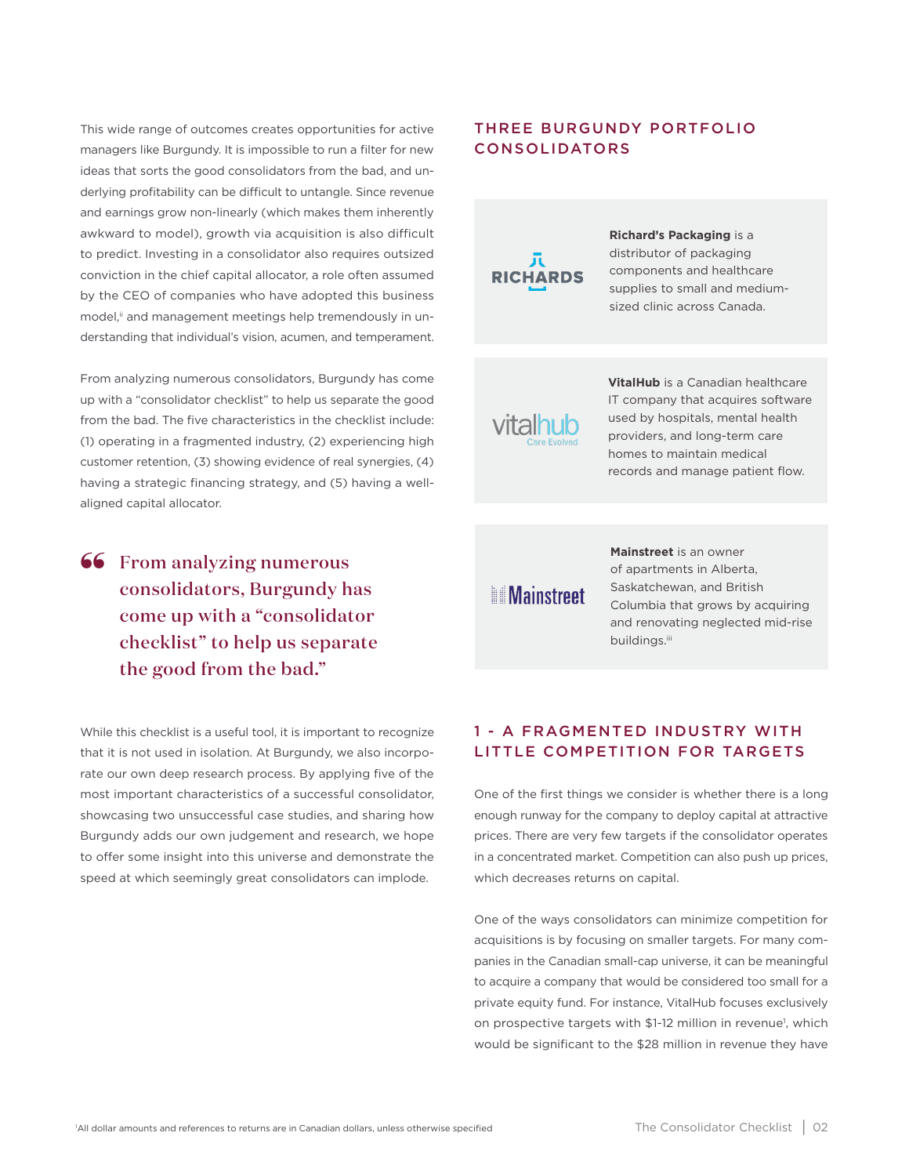This wide range of outcomes creates opportunities for active managers like Burgundy. It is impossible to run a filter for new ideas that sorts the good consolidators from the bad, and underlying profitability can be difficult to untangle. Since revenue and earnings grow non-linearly (which makes them inherently awkward to model), growth via acquisition is also difficult to predict. Investing in a consolidator also requires outsized conviction in the chief capital allocator, a role often assumed by the CEO of companies who have adopted this business model,<sup>ii</sup> and management meetings help tremendously in understanding that individual's vision, acumen, and temperament.

From analyzing numerous consolidators, Burgundy has come up with a "consolidator checklist" to help us separate the good from the bad. The five characteristics in the checklist include: (1) operating in a fragmented industry, (2) experiencing high customer retention, (3) showing evidence of real synergies, (4) having a strategic financing strategy, and (5) having a wellaligned capital allocator.

**66** From analyzing numerous consolidators, Burgundy h consolidators, Burgundy has come up with a "consolidator checklist" to help us separate the good from the bad."

While this checklist is a useful tool, it is important to recognize that it is not used in isolation. At Burgundy, we also incorporate our own deep research process. By applying five of the most important characteristics of a successful consolidator, showcasing two unsuccessful case studies, and sharing how Burgundy adds our own judgement and research, we hope to offer some insight into this universe and demonstrate the speed at which seemingly great consolidators can implode.

# THREE BURGUNDY PORTFOLIO CONSOLIDATORS



**Richard's Packaging** is a distributor of packaging components and healthcare supplies to small and mediumsized clinic across Canada.

**VitalHub** is a Canadian healthcare IT company that acquires software used by hospitals, mental health providers, and long-term care homes to maintain medical records and manage patient flow.

**Mainstreet** 

**Mainstreet** is an owner of apartments in Alberta, Saskatchewan, and British Columbia that grows by acquiring and renovating neglected mid-rise buildings.iii

# 1 - A FRAGMENTED INDUSTRY WITH LITTLE COMPETITION FOR TARGETS

One of the first things we consider is whether there is a long enough runway for the company to deploy capital at attractive prices. There are very few targets if the consolidator operates in a concentrated market. Competition can also push up prices, which decreases returns on capital.

One of the ways consolidators can minimize competition for acquisitions is by focusing on smaller targets. For many companies in the Canadian small-cap universe, it can be meaningful to acquire a company that would be considered too small for a private equity fund. For instance, VitalHub focuses exclusively on prospective targets with \$1-12 million in revenue<sup>1</sup>, which would be significant to the \$28 million in revenue they have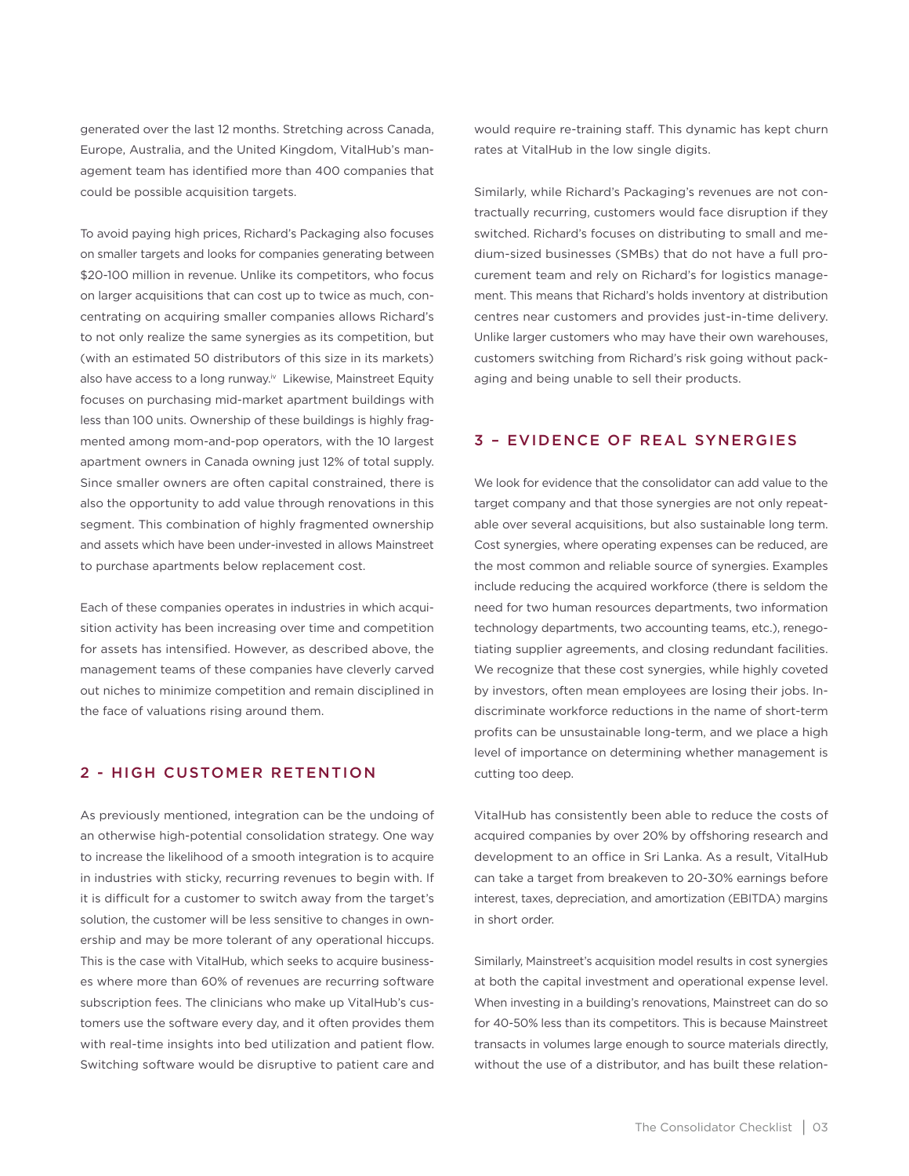generated over the last 12 months. Stretching across Canada, Europe, Australia, and the United Kingdom, VitalHub's management team has identified more than 400 companies that could be possible acquisition targets.

To avoid paying high prices, Richard's Packaging also focuses on smaller targets and looks for companies generating between \$20-100 million in revenue. Unlike its competitors, who focus on larger acquisitions that can cost up to twice as much, concentrating on acquiring smaller companies allows Richard's to not only realize the same synergies as its competition, but (with an estimated 50 distributors of this size in its markets) also have access to a long runway.<sup>iv</sup> Likewise, Mainstreet Equity focuses on purchasing mid-market apartment buildings with less than 100 units. Ownership of these buildings is highly fragmented among mom-and-pop operators, with the 10 largest apartment owners in Canada owning just 12% of total supply. Since smaller owners are often capital constrained, there is also the opportunity to add value through renovations in this segment. This combination of highly fragmented ownership and assets which have been under-invested in allows Mainstreet to purchase apartments below replacement cost.

Each of these companies operates in industries in which acquisition activity has been increasing over time and competition for assets has intensified. However, as described above, the management teams of these companies have cleverly carved out niches to minimize competition and remain disciplined in the face of valuations rising around them.

## 2 - HIGH CUSTOMER RETENTION

As previously mentioned, integration can be the undoing of an otherwise high-potential consolidation strategy. One way to increase the likelihood of a smooth integration is to acquire in industries with sticky, recurring revenues to begin with. If it is difficult for a customer to switch away from the target's solution, the customer will be less sensitive to changes in ownership and may be more tolerant of any operational hiccups. This is the case with VitalHub, which seeks to acquire businesses where more than 60% of revenues are recurring software subscription fees. The clinicians who make up VitalHub's customers use the software every day, and it often provides them with real-time insights into bed utilization and patient flow. Switching software would be disruptive to patient care and would require re-training staff. This dynamic has kept churn rates at VitalHub in the low single digits.

Similarly, while Richard's Packaging's revenues are not contractually recurring, customers would face disruption if they switched. Richard's focuses on distributing to small and medium-sized businesses (SMBs) that do not have a full procurement team and rely on Richard's for logistics management. This means that Richard's holds inventory at distribution centres near customers and provides just-in-time delivery. Unlike larger customers who may have their own warehouses, customers switching from Richard's risk going without packaging and being unable to sell their products.

# 3 – EVIDENCE OF REAL SYNERGIES

We look for evidence that the consolidator can add value to the target company and that those synergies are not only repeatable over several acquisitions, but also sustainable long term. Cost synergies, where operating expenses can be reduced, are the most common and reliable source of synergies. Examples include reducing the acquired workforce (there is seldom the need for two human resources departments, two information technology departments, two accounting teams, etc.), renegotiating supplier agreements, and closing redundant facilities. We recognize that these cost synergies, while highly coveted by investors, often mean employees are losing their jobs. Indiscriminate workforce reductions in the name of short-term profits can be unsustainable long-term, and we place a high level of importance on determining whether management is cutting too deep.

VitalHub has consistently been able to reduce the costs of acquired companies by over 20% by offshoring research and development to an office in Sri Lanka. As a result, VitalHub can take a target from breakeven to 20-30% earnings before interest, taxes, depreciation, and amortization (EBITDA) margins in short order.

Similarly, Mainstreet's acquisition model results in cost synergies at both the capital investment and operational expense level. When investing in a building's renovations, Mainstreet can do so for 40-50% less than its competitors. This is because Mainstreet transacts in volumes large enough to source materials directly, without the use of a distributor, and has built these relation-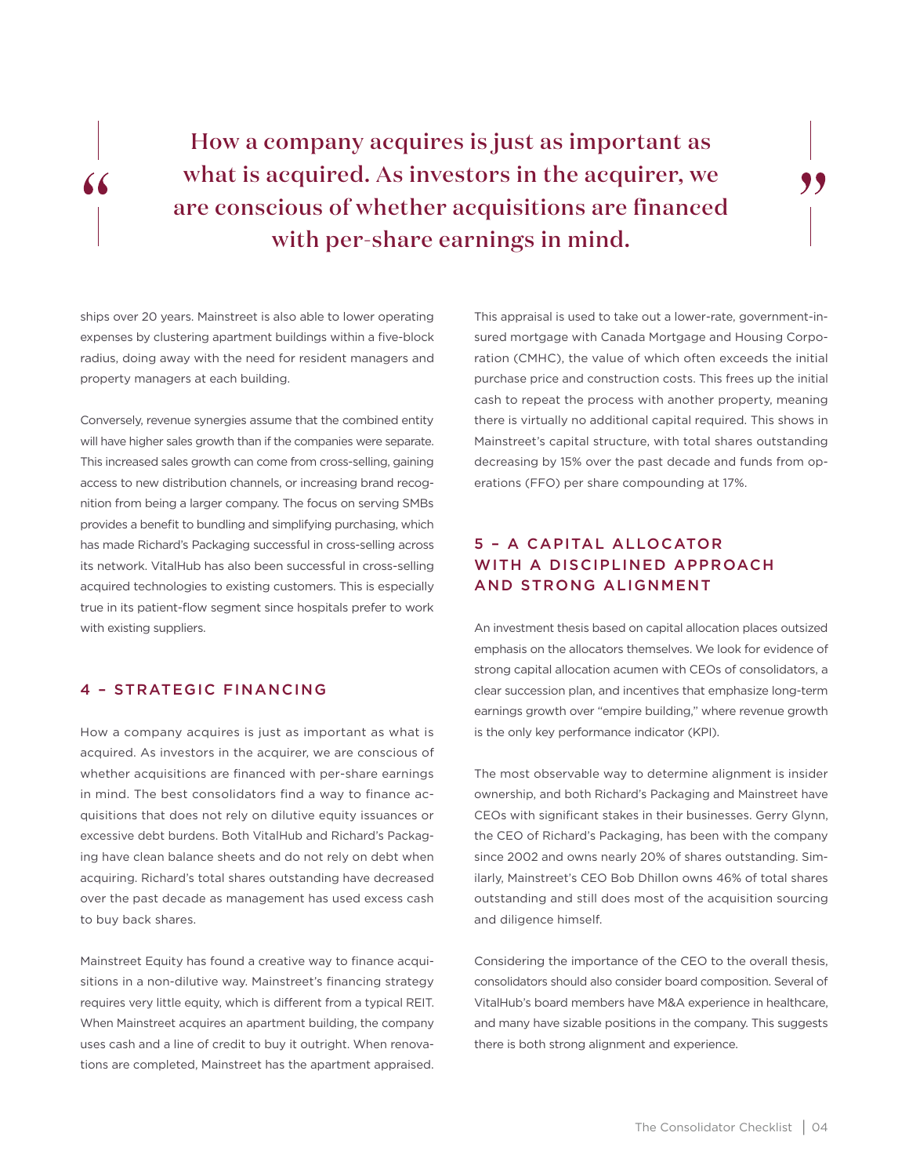How a company acquires is just as important as what is acquired. As investors in the acquirer, we are conscious of whether acquisitions are financed with per-share earnings in mind.

ships over 20 years. Mainstreet is also able to lower operating expenses by clustering apartment buildings within a five-block radius, doing away with the need for resident managers and property managers at each building.

 $\epsilon$ 

Conversely, revenue synergies assume that the combined entity will have higher sales growth than if the companies were separate. This increased sales growth can come from cross-selling, gaining access to new distribution channels, or increasing brand recognition from being a larger company. The focus on serving SMBs provides a benefit to bundling and simplifying purchasing, which has made Richard's Packaging successful in cross-selling across its network. VitalHub has also been successful in cross-selling acquired technologies to existing customers. This is especially true in its patient-flow segment since hospitals prefer to work with existing suppliers.

# 4 – STRATEGIC FINANCING

How a company acquires is just as important as what is acquired. As investors in the acquirer, we are conscious of whether acquisitions are financed with per-share earnings in mind. The best consolidators find a way to finance acquisitions that does not rely on dilutive equity issuances or excessive debt burdens. Both VitalHub and Richard's Packaging have clean balance sheets and do not rely on debt when acquiring. Richard's total shares outstanding have decreased over the past decade as management has used excess cash to buy back shares.

Mainstreet Equity has found a creative way to finance acquisitions in a non-dilutive way. Mainstreet's financing strategy requires very little equity, which is different from a typical REIT. When Mainstreet acquires an apartment building, the company uses cash and a line of credit to buy it outright. When renovations are completed, Mainstreet has the apartment appraised.

This appraisal is used to take out a lower-rate, government-insured mortgage with Canada Mortgage and Housing Corporation (CMHC), the value of which often exceeds the initial purchase price and construction costs. This frees up the initial cash to repeat the process with another property, meaning there is virtually no additional capital required. This shows in Mainstreet's capital structure, with total shares outstanding decreasing by 15% over the past decade and funds from operations (FFO) per share compounding at 17%.

"

# 5 – A CAPITAL ALLOCATOR WITH A DISCIPLINED APPROACH AND STRONG ALIGNMENT

An investment thesis based on capital allocation places outsized emphasis on the allocators themselves. We look for evidence of strong capital allocation acumen with CEOs of consolidators, a clear succession plan, and incentives that emphasize long-term earnings growth over "empire building," where revenue growth is the only key performance indicator (KPI).

The most observable way to determine alignment is insider ownership, and both Richard's Packaging and Mainstreet have CEOs with significant stakes in their businesses. Gerry Glynn, the CEO of Richard's Packaging, has been with the company since 2002 and owns nearly 20% of shares outstanding. Similarly, Mainstreet's CEO Bob Dhillon owns 46% of total shares outstanding and still does most of the acquisition sourcing and diligence himself.

Considering the importance of the CEO to the overall thesis, consolidators should also consider board composition. Several of VitalHub's board members have M&A experience in healthcare, and many have sizable positions in the company. This suggests there is both strong alignment and experience.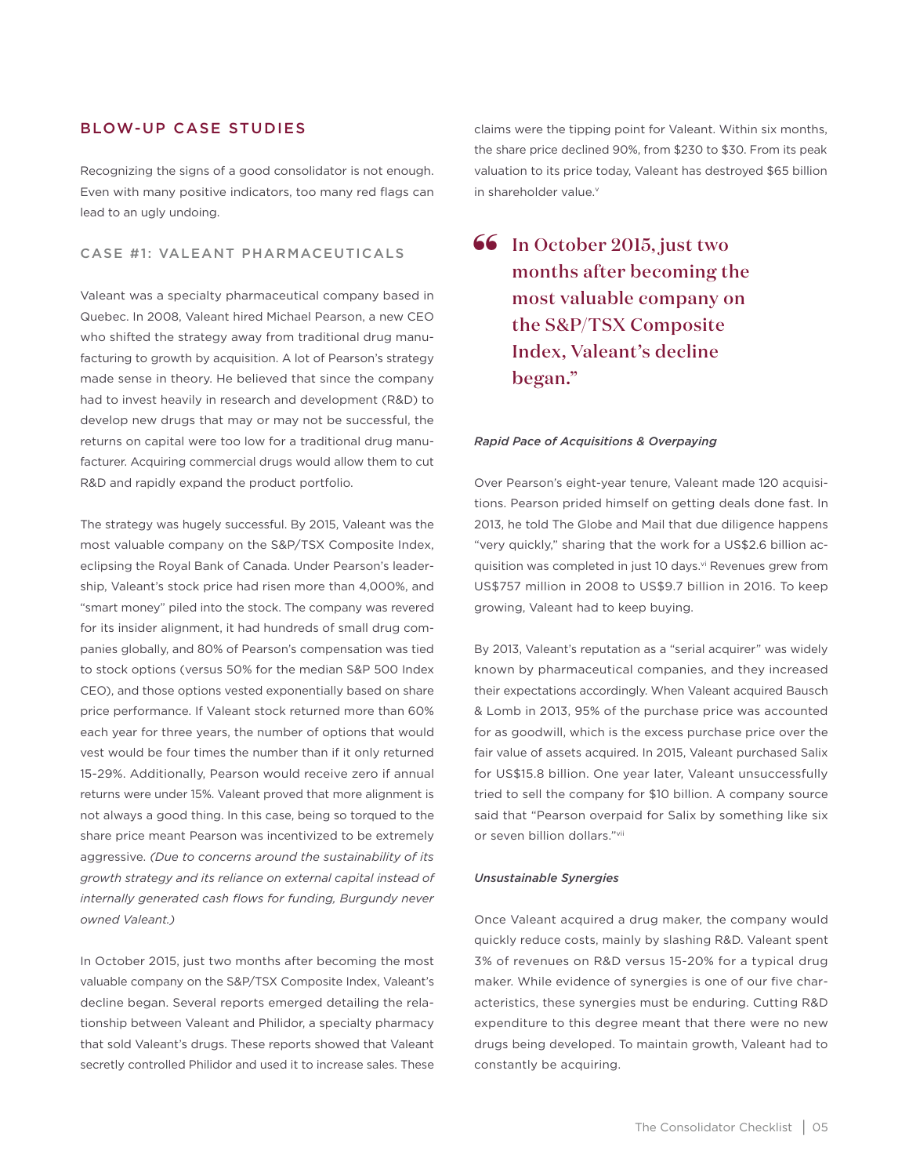## BLOW-UP CASE STUDIES

Recognizing the signs of a good consolidator is not enough. Even with many positive indicators, too many red flags can lead to an ugly undoing.

## CASE #1: VALEANT PHARMACEUTICALS

Valeant was a specialty pharmaceutical company based in Quebec. In 2008, Valeant hired Michael Pearson, a new CEO who shifted the strategy away from traditional drug manufacturing to growth by acquisition. A lot of Pearson's strategy made sense in theory. He believed that since the company had to invest heavily in research and development (R&D) to develop new drugs that may or may not be successful, the returns on capital were too low for a traditional drug manufacturer. Acquiring commercial drugs would allow them to cut R&D and rapidly expand the product portfolio.

The strategy was hugely successful. By 2015, Valeant was the most valuable company on the S&P/TSX Composite Index, eclipsing the Royal Bank of Canada. Under Pearson's leadership, Valeant's stock price had risen more than 4,000%, and "smart money" piled into the stock. The company was revered for its insider alignment, it had hundreds of small drug companies globally, and 80% of Pearson's compensation was tied to stock options (versus 50% for the median S&P 500 Index CEO), and those options vested exponentially based on share price performance. If Valeant stock returned more than 60% each year for three years, the number of options that would vest would be four times the number than if it only returned 15-29%. Additionally, Pearson would receive zero if annual returns were under 15%. Valeant proved that more alignment is not always a good thing. In this case, being so torqued to the share price meant Pearson was incentivized to be extremely aggressive. *(Due to concerns around the sustainability of its growth strategy and its reliance on external capital instead of internally generated cash flows for funding, Burgundy never owned Valeant.)*

In October 2015, just two months after becoming the most valuable company on the S&P/TSX Composite Index, Valeant's decline began. Several reports emerged detailing the relationship between Valeant and Philidor, a specialty pharmacy that sold Valeant's drugs. These reports showed that Valeant secretly controlled Philidor and used it to increase sales. These

claims were the tipping point for Valeant. Within six months, the share price declined 90%, from \$230 to \$30. From its peak valuation to its price today, Valeant has destroyed \$65 billion in shareholder value.<sup>v</sup>

**66** In October 2015, just two months after becoming the months after becoming the most valuable company on the S&P/TSX Composite Index, Valeant's decline began."

#### *Rapid Pace of Acquisitions & Overpaying*

Over Pearson's eight-year tenure, Valeant made 120 acquisitions. Pearson prided himself on getting deals done fast. In 2013, he told The Globe and Mail that due diligence happens "very quickly," sharing that the work for a US\$2.6 billion acquisition was completed in just 10 days.<sup>vi</sup> Revenues grew from US\$757 million in 2008 to US\$9.7 billion in 2016. To keep growing, Valeant had to keep buying.

By 2013, Valeant's reputation as a "serial acquirer" was widely known by pharmaceutical companies, and they increased their expectations accordingly. When Valeant acquired Bausch & Lomb in 2013, 95% of the purchase price was accounted for as goodwill, which is the excess purchase price over the fair value of assets acquired. In 2015, Valeant purchased Salix for US\$15.8 billion. One year later, Valeant unsuccessfully tried to sell the company for \$10 billion. A company source said that "Pearson overpaid for Salix by something like six or seven billion dollars."vii

#### *Unsustainable Synergies*

Once Valeant acquired a drug maker, the company would quickly reduce costs, mainly by slashing R&D. Valeant spent 3% of revenues on R&D versus 15-20% for a typical drug maker. While evidence of synergies is one of our five characteristics, these synergies must be enduring. Cutting R&D expenditure to this degree meant that there were no new drugs being developed. To maintain growth, Valeant had to constantly be acquiring.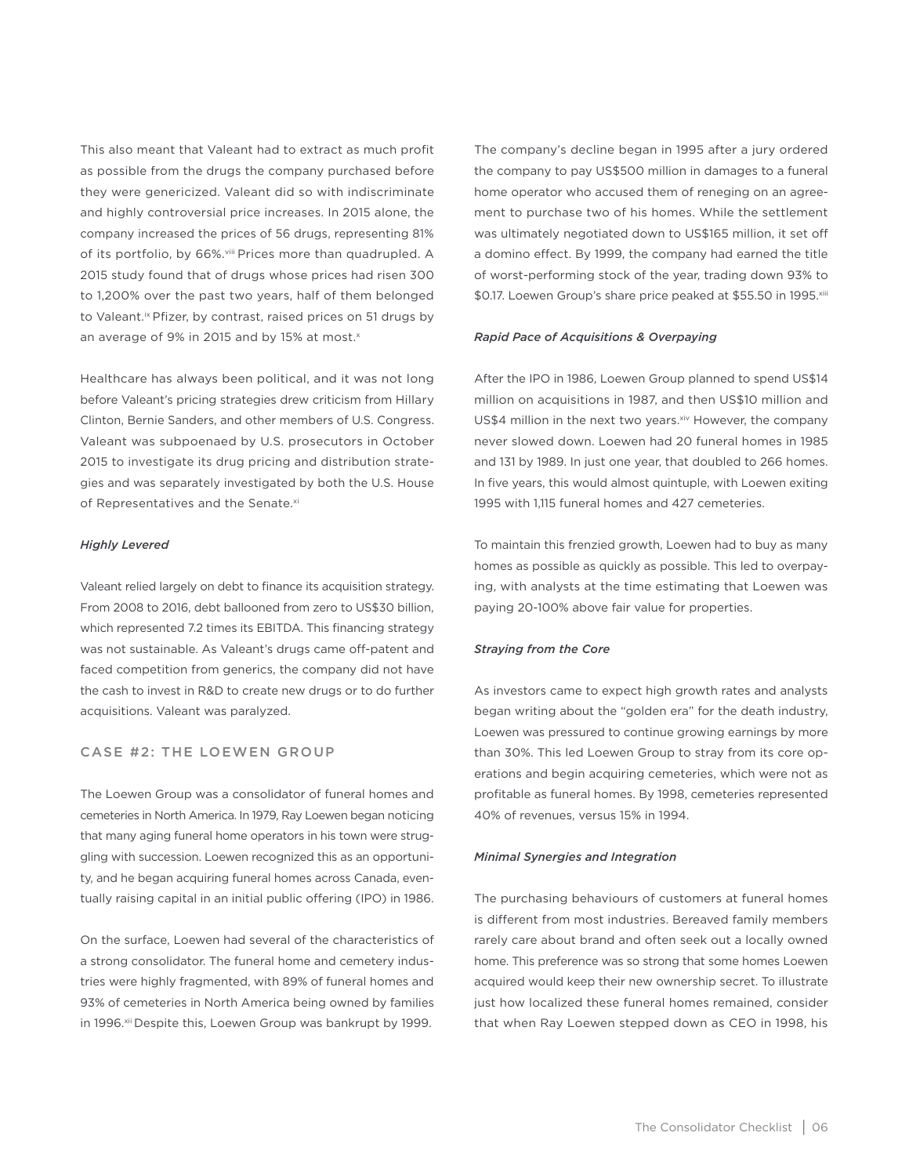This also meant that Valeant had to extract as much profit as possible from the drugs the company purchased before they were genericized. Valeant did so with indiscriminate and highly controversial price increases. In 2015 alone, the company increased the prices of 56 drugs, representing 81% of its portfolio, by 66%.viii Prices more than quadrupled. A 2015 study found that of drugs whose prices had risen 300 to 1,200% over the past two years, half of them belonged to Valeant.<sup>ix</sup> Pfizer, by contrast, raised prices on 51 drugs by an average of 9% in 2015 and by 15% at most.<sup>x</sup>

Healthcare has always been political, and it was not long before Valeant's pricing strategies drew criticism from Hillary Clinton, Bernie Sanders, and other members of U.S. Congress. Valeant was subpoenaed by U.S. prosecutors in October 2015 to investigate its drug pricing and distribution strategies and was separately investigated by both the U.S. House of Representatives and the Senate.xi

#### *Highly Levered*

Valeant relied largely on debt to finance its acquisition strategy. From 2008 to 2016, debt ballooned from zero to US\$30 billion, which represented 7.2 times its EBITDA. This financing strategy was not sustainable. As Valeant's drugs came off-patent and faced competition from generics, the company did not have the cash to invest in R&D to create new drugs or to do further acquisitions. Valeant was paralyzed.

#### CASE #2: THE LOEWEN GROUP

The Loewen Group was a consolidator of funeral homes and cemeteries in North America. In 1979, Ray Loewen began noticing that many aging funeral home operators in his town were struggling with succession. Loewen recognized this as an opportunity, and he began acquiring funeral homes across Canada, eventually raising capital in an initial public offering (IPO) in 1986.

On the surface, Loewen had several of the characteristics of a strong consolidator. The funeral home and cemetery industries were highly fragmented, with 89% of funeral homes and 93% of cemeteries in North America being owned by families in 1996.<sup>xii</sup> Despite this, Loewen Group was bankrupt by 1999.

The company's decline began in 1995 after a jury ordered the company to pay US\$500 million in damages to a funeral home operator who accused them of reneging on an agreement to purchase two of his homes. While the settlement was ultimately negotiated down to US\$165 million, it set off a domino effect. By 1999, the company had earned the title of worst-performing stock of the year, trading down 93% to \$0.17. Loewen Group's share price peaked at \$55.50 in 1995.xiii

#### *Rapid Pace of Acquisitions & Overpaying*

After the IPO in 1986, Loewen Group planned to spend US\$14 million on acquisitions in 1987, and then US\$10 million and US\$4 million in the next two years.<sup>xiv</sup> However, the company never slowed down. Loewen had 20 funeral homes in 1985 and 131 by 1989. In just one year, that doubled to 266 homes. In five years, this would almost quintuple, with Loewen exiting 1995 with 1,115 funeral homes and 427 cemeteries.

To maintain this frenzied growth, Loewen had to buy as many homes as possible as quickly as possible. This led to overpaying, with analysts at the time estimating that Loewen was paying 20-100% above fair value for properties.

#### *Straying from the Core*

As investors came to expect high growth rates and analysts began writing about the "golden era" for the death industry, Loewen was pressured to continue growing earnings by more than 30%. This led Loewen Group to stray from its core operations and begin acquiring cemeteries, which were not as profitable as funeral homes. By 1998, cemeteries represented 40% of revenues, versus 15% in 1994.

#### *Minimal Synergies and Integration*

The purchasing behaviours of customers at funeral homes is different from most industries. Bereaved family members rarely care about brand and often seek out a locally owned home. This preference was so strong that some homes Loewen acquired would keep their new ownership secret. To illustrate just how localized these funeral homes remained, consider that when Ray Loewen stepped down as CEO in 1998, his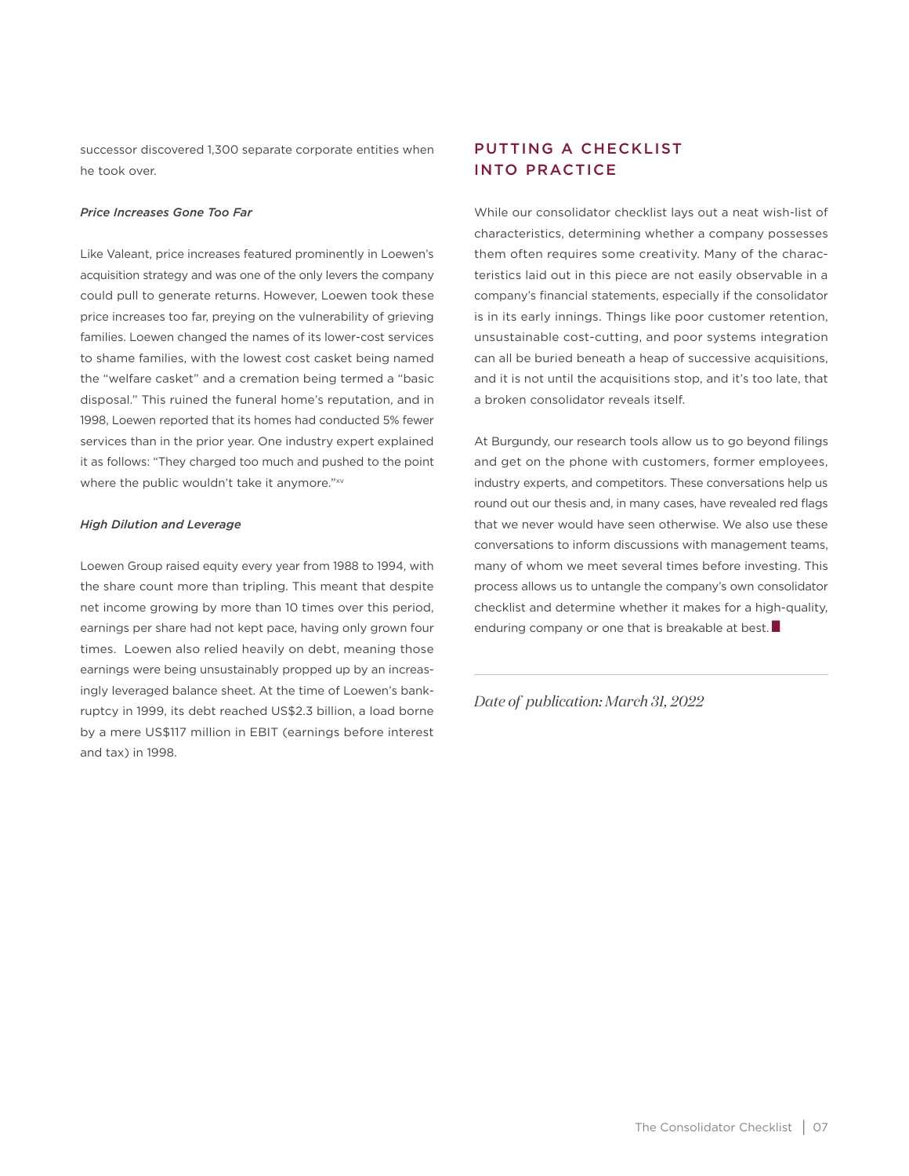successor discovered 1,300 separate corporate entities when he took over.

#### *Price Increases Gone Too Far*

Like Valeant, price increases featured prominently in Loewen's acquisition strategy and was one of the only levers the company could pull to generate returns. However, Loewen took these price increases too far, preying on the vulnerability of grieving families. Loewen changed the names of its lower-cost services to shame families, with the lowest cost casket being named the "welfare casket" and a cremation being termed a "basic disposal." This ruined the funeral home's reputation, and in 1998, Loewen reported that its homes had conducted 5% fewer services than in the prior year. One industry expert explained it as follows: "They charged too much and pushed to the point where the public wouldn't take it anymore."xv

#### *High Dilution and Leverage*

Loewen Group raised equity every year from 1988 to 1994, with the share count more than tripling. This meant that despite net income growing by more than 10 times over this period, earnings per share had not kept pace, having only grown four times. Loewen also relied heavily on debt, meaning those earnings were being unsustainably propped up by an increasingly leveraged balance sheet. At the time of Loewen's bankruptcy in 1999, its debt reached US\$2.3 billion, a load borne by a mere US\$117 million in EBIT (earnings before interest and tax) in 1998.

# PUTTING A CHECKLIST INTO PRACTICE

While our consolidator checklist lays out a neat wish-list of characteristics, determining whether a company possesses them often requires some creativity. Many of the characteristics laid out in this piece are not easily observable in a company's financial statements, especially if the consolidator is in its early innings. Things like poor customer retention, unsustainable cost-cutting, and poor systems integration can all be buried beneath a heap of successive acquisitions, and it is not until the acquisitions stop, and it's too late, that a broken consolidator reveals itself.

At Burgundy, our research tools allow us to go beyond filings and get on the phone with customers, former employees, industry experts, and competitors. These conversations help us round out our thesis and, in many cases, have revealed red flags that we never would have seen otherwise. We also use these conversations to inform discussions with management teams, many of whom we meet several times before investing. This process allows us to untangle the company's own consolidator checklist and determine whether it makes for a high-quality, enduring company or one that is breakable at best.**.**

*Date of publication: March 31, 2022*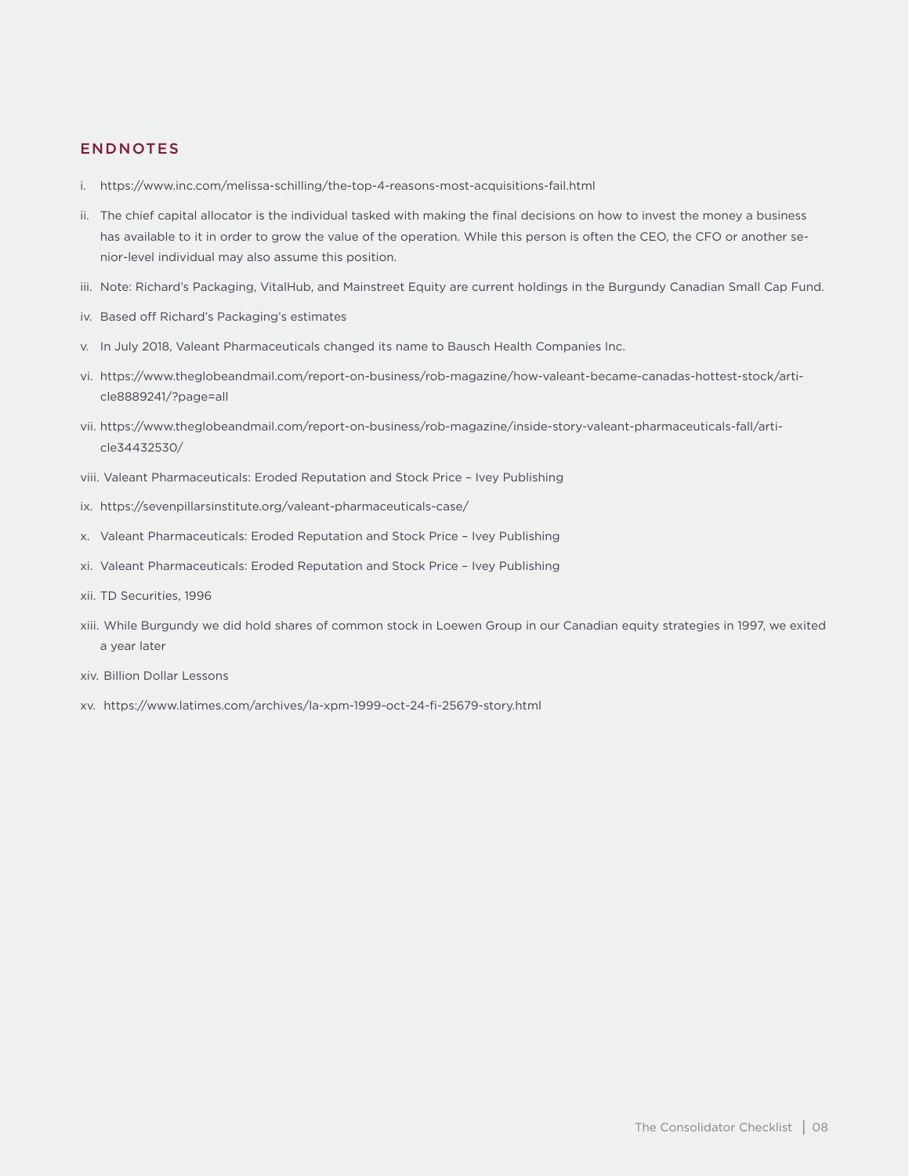## ENDNOTES

- i. https://www.inc.com/melissa-schilling/the-top-4-reasons-most-acquisitions-fail.html
- ii. The chief capital allocator is the individual tasked with making the final decisions on how to invest the money a business has available to it in order to grow the value of the operation. While this person is often the CEO, the CFO or another senior-level individual may also assume this position.
- iii. Note: Richard's Packaging, VitalHub, and Mainstreet Equity are current holdings in the Burgundy Canadian Small Cap Fund.
- iv. Based off Richard's Packaging's estimates
- v. In July 2018, Valeant Pharmaceuticals changed its name to Bausch Health Companies Inc.
- vi. https://www.theglobeandmail.com/report-on-business/rob-magazine/how-valeant-became-canadas-hottest-stock/article8889241/?page=all
- vii. https://www.theglobeandmail.com/report-on-business/rob-magazine/inside-story-valeant-pharmaceuticals-fall/article34432530/
- viii. Valeant Pharmaceuticals: Eroded Reputation and Stock Price Ivey Publishing
- ix. https://sevenpillarsinstitute.org/valeant-pharmaceuticals-case/
- x. Valeant Pharmaceuticals: Eroded Reputation and Stock Price Ivey Publishing
- xi. Valeant Pharmaceuticals: Eroded Reputation and Stock Price Ivey Publishing
- xii. TD Securities, 1996
- xiii. While Burgundy we did hold shares of common stock in Loewen Group in our Canadian equity strategies in 1997, we exited a year later
- xiv. Billion Dollar Lessons
- xv. https://www.latimes.com/archives/la-xpm-1999-oct-24-fi-25679-story.html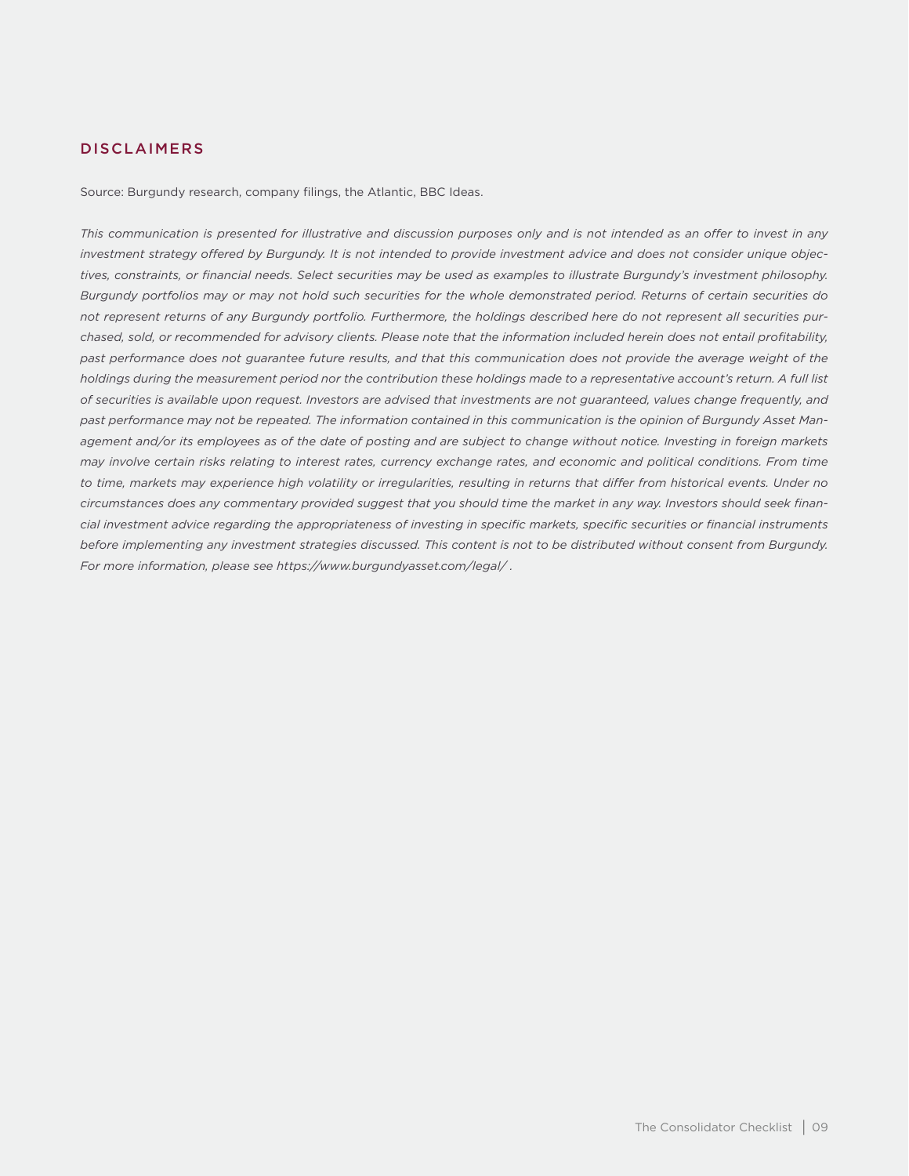## DISCLAIMERS

Source: Burgundy research, company filings, the Atlantic, BBC Ideas.

*This communication is presented for illustrative and discussion purposes only and is not intended as an offer to invest in any investment strategy offered by Burgundy. It is not intended to provide investment advice and does not consider unique objectives, constraints, or financial needs. Select securities may be used as examples to illustrate Burgundy's investment philosophy. Burgundy portfolios may or may not hold such securities for the whole demonstrated period. Returns of certain securities do not represent returns of any Burgundy portfolio. Furthermore, the holdings described here do not represent all securities purchased, sold, or recommended for advisory clients. Please note that the information included herein does not entail profitability,*  past performance does not guarantee future results, and that this communication does not provide the average weight of the *holdings during the measurement period nor the contribution these holdings made to a representative account's return. A full list of securities is available upon request. Investors are advised that investments are not guaranteed, values change frequently, and past performance may not be repeated. The information contained in this communication is the opinion of Burgundy Asset Management and/or its employees as of the date of posting and are subject to change without notice. Investing in foreign markets may involve certain risks relating to interest rates, currency exchange rates, and economic and political conditions. From time to time, markets may experience high volatility or irregularities, resulting in returns that differ from historical events. Under no circumstances does any commentary provided suggest that you should time the market in any way. Investors should seek financial investment advice regarding the appropriateness of investing in specific markets, specific securities or financial instruments before implementing any investment strategies discussed. This content is not to be distributed without consent from Burgundy. For more information, please see https://www.burgundyasset.com/legal/ .*